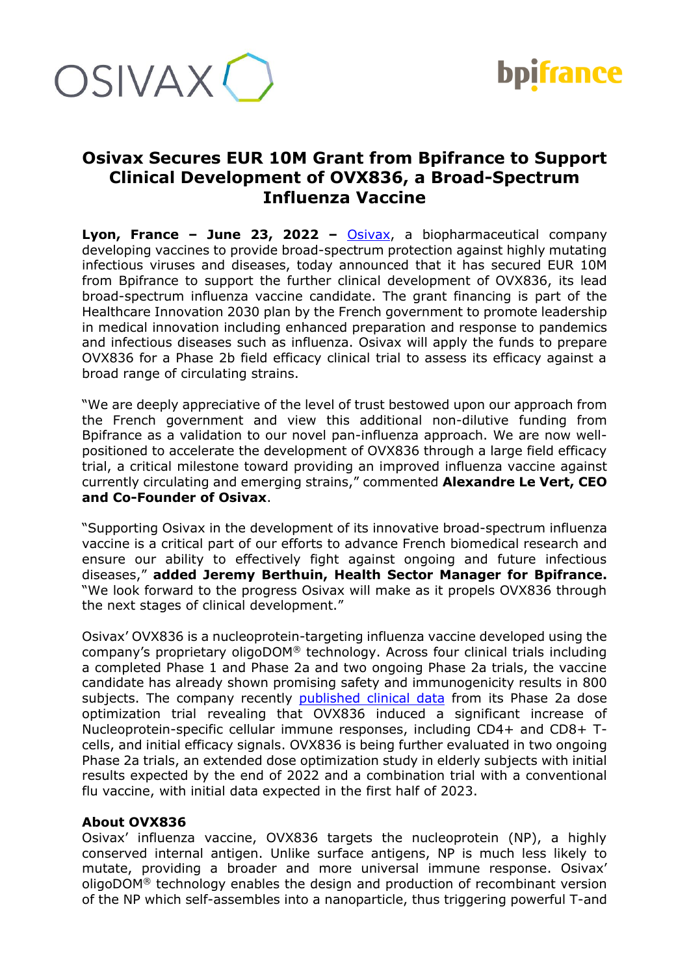



## **Osivax Secures EUR 10M Grant from Bpifrance to Support Clinical Development of OVX836, a Broad-Spectrum Influenza Vaccine**

**Lyon, France – June 23, 2022 –** [Osivax,](http://www.osivax.com/) a biopharmaceutical company developing vaccines to provide broad-spectrum protection against highly mutating infectious viruses and diseases, today announced that it has secured EUR 10M from Bpifrance to support the further clinical development of OVX836, its lead broad-spectrum influenza vaccine candidate. The grant financing is part of the Healthcare Innovation 2030 plan by the French government to promote leadership in medical innovation including enhanced preparation and response to pandemics and infectious diseases such as influenza. Osivax will apply the funds to prepare OVX836 for a Phase 2b field efficacy clinical trial to assess its efficacy against a broad range of circulating strains.

"We are deeply appreciative of the level of trust bestowed upon our approach from the French government and view this additional non-dilutive funding from Bpifrance as a validation to our novel pan-influenza approach. We are now wellpositioned to accelerate the development of OVX836 through a large field efficacy trial, a critical milestone toward providing an improved influenza vaccine against currently circulating and emerging strains," commented **Alexandre Le Vert, CEO and Co-Founder of Osivax**.

"Supporting Osivax in the development of its innovative broad-spectrum influenza vaccine is a critical part of our efforts to advance French biomedical research and ensure our ability to effectively fight against ongoing and future infectious diseases," **added Jeremy Berthuin, Health Sector Manager for Bpifrance.** "We look forward to the progress Osivax will make as it propels OVX836 through the next stages of clinical development."

Osivax' OVX836 is a nucleoprotein-targeting influenza vaccine developed using the company's proprietary oligoDOM® technology. Across four clinical trials including a completed Phase 1 and Phase 2a and two ongoing Phase 2a trials, the vaccine candidate has already shown promising safety and immunogenicity results in 800 subjects. The company recently [published clinical data](https://www.frontiersin.org/articles/10.3389/fimmu.2022.852904/full) from its Phase 2a dose optimization trial revealing that OVX836 induced a significant increase of Nucleoprotein-specific cellular immune responses, including CD4+ and CD8+ Tcells, and initial efficacy signals. OVX836 is being further evaluated in two ongoing Phase 2a trials, an extended dose optimization study in elderly subjects with initial results expected by the end of 2022 and a combination trial with a conventional flu vaccine, with initial data expected in the first half of 2023.

## **About OVX836**

Osivax' influenza vaccine, OVX836 targets the nucleoprotein (NP), a highly conserved internal antigen. Unlike surface antigens, NP is much less likely to mutate, providing a broader and more universal immune response. Osivax' oligoDOM® technology enables the design and production of recombinant version of the NP which self-assembles into a nanoparticle, thus triggering powerful T-and